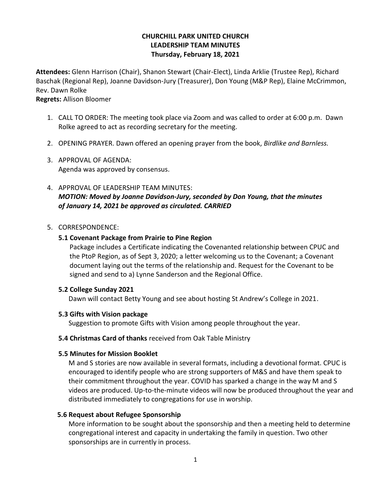# **CHURCHILL PARK UNITED CHURCH LEADERSHIP TEAM MINUTES Thursday, February 18, 2021**

**Attendees:** Glenn Harrison (Chair), Shanon Stewart (Chair-Elect), Linda Arklie (Trustee Rep), Richard Baschak (Regional Rep), Joanne Davidson-Jury (Treasurer), Don Young (M&P Rep), Elaine McCrimmon, Rev. Dawn Rolke

**Regrets:** Allison Bloomer

- 1. CALL TO ORDER: The meeting took place via Zoom and was called to order at 6:00 p.m. Dawn Rolke agreed to act as recording secretary for the meeting.
- 2. OPENING PRAYER. Dawn offered an opening prayer from the book, *Birdlike and Barnless.*
- 3. APPROVAL OF AGENDA: Agenda was approved by consensus.
- 4. APPROVAL OF LEADERSHIP TEAM MINUTES: *MOTION: Moved by Joanne Davidson-Jury, seconded by Don Young, that the minutes of January 14, 2021 be approved as circulated. CARRIED*

### 5. CORRESPONDENCE:

### **5.1 Covenant Package from Prairie to Pine Region**

Package includes a Certificate indicating the Covenanted relationship between CPUC and the PtoP Region, as of Sept 3, 2020; a letter welcoming us to the Covenant; a Covenant document laying out the terms of the relationship and. Request for the Covenant to be signed and send to a) Lynne Sanderson and the Regional Office.

### **5.2 College Sunday 2021**

Dawn will contact Betty Young and see about hosting St Andrew's College in 2021.

### **5.3 Gifts with Vision package**

Suggestion to promote Gifts with Vision among people throughout the year.

### **5.4 Christmas Card of thanks** received from Oak Table Ministry

### **5.5 Minutes for Mission Booklet**

 M and S stories are now available in several formats, including a devotional format. CPUC is encouraged to identify people who are strong supporters of M&S and have them speak to their commitment throughout the year. COVID has sparked a change in the way M and S videos are produced. Up-to-the-minute videos will now be produced throughout the year and distributed immediately to congregations for use in worship.

### **5.6 Request about Refugee Sponsorship**

 More information to be sought about the sponsorship and then a meeting held to determine congregational interest and capacity in undertaking the family in question. Two other sponsorships are in currently in process.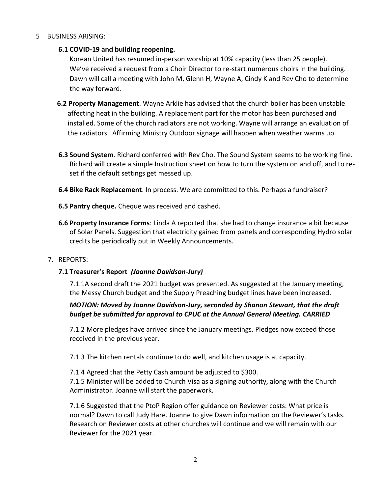### 5 BUSINESS ARISING:

### **6.1 COVID-19 and building reopening.**

Korean United has resumed in-person worship at 10% capacity (less than 25 people). We've received a request from a Choir Director to re-start numerous choirs in the building. Dawn will call a meeting with John M, Glenn H, Wayne A, Cindy K and Rev Cho to determine the way forward.

- **6.2 Property Management**. Wayne Arklie has advised that the church boiler has been unstable affecting heat in the building. A replacement part for the motor has been purchased and installed. Some of the church radiators are not working. Wayne will arrange an evaluation of the radiators. Affirming Ministry Outdoor signage will happen when weather warms up.
- **6.3 Sound System**. Richard conferred with Rev Cho. The Sound System seems to be working fine. Richard will create a simple Instruction sheet on how to turn the system on and off, and to reset if the default settings get messed up.
- **6.4 Bike Rack Replacement**. In process. We are committed to this. Perhaps a fundraiser?
- **6.5 Pantry cheque.** Cheque was received and cashed.
- **6.6 Property Insurance Forms**: Linda A reported that she had to change insurance a bit because of Solar Panels. Suggestion that electricity gained from panels and corresponding Hydro solar credits be periodically put in Weekly Announcements.

### 7. REPORTS:

# **7.1 Treasurer's Report** *(Joanne Davidson-Jury)*

7.1.1A second draft the 2021 budget was presented. As suggested at the January meeting, the Messy Church budget and the Supply Preaching budget lines have been increased.

# *MOTION: Moved by Joanne Davidson-Jury, seconded by Shanon Stewart, that the draft budget be submitted for approval to CPUC at the Annual General Meeting. CARRIED*

7.1.2 More pledges have arrived since the January meetings. Pledges now exceed those received in the previous year.

7.1.3 The kitchen rentals continue to do well, and kitchen usage is at capacity.

7.1.4 Agreed that the Petty Cash amount be adjusted to \$300.

7.1.5 Minister will be added to Church Visa as a signing authority, along with the Church Administrator. Joanne will start the paperwork.

7.1.6 Suggested that the PtoP Region offer guidance on Reviewer costs: What price is normal? Dawn to call Judy Hare. Joanne to give Dawn information on the Reviewer's tasks. Research on Reviewer costs at other churches will continue and we will remain with our Reviewer for the 2021 year.